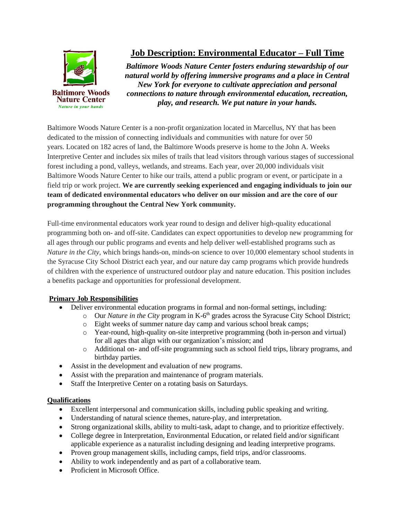

## **Job Description: Environmental Educator – Full Time**

*Baltimore Woods Nature Center fosters enduring stewardship of our natural world by offering immersive programs and a place in Central New York for everyone to cultivate appreciation and personal connections to nature through environmental education, recreation, play, and research. We put nature in your hands.*

Baltimore Woods Nature Center is a non-profit organization located in Marcellus, NY that has been dedicated to the mission of connecting individuals and communities with nature for over 50 years. Located on 182 acres of land, the Baltimore Woods preserve is home to the John A. Weeks Interpretive Center and includes six miles of trails that lead visitors through various stages of successional forest including a pond, valleys, wetlands, and streams. Each year, over 20,000 individuals visit Baltimore Woods Nature Center to hike our trails, attend a public program or event, or participate in a field trip or work project. **We are currently seeking experienced and engaging individuals to join our team of dedicated environmental educators who deliver on our mission and are the core of our programming throughout the Central New York community.**

Full-time environmental educators work year round to design and deliver high-quality educational programming both on- and off-site. Candidates can expect opportunities to develop new programming for all ages through our public programs and events and help deliver well-established programs such as *Nature in the City*, which brings hands-on, minds-on science to over 10,000 elementary school students in the Syracuse City School District each year, and our nature day camp programs which provide hundreds of children with the experience of unstructured outdoor play and nature education. This position includes a benefits package and opportunities for professional development.

## **Primary Job Responsibilities**

- Deliver environmental education programs in formal and non-formal settings, including:
	- o Our *Nature in the City* program in K-6<sup>th</sup> grades across the Syracuse City School District;
	- o Eight weeks of summer nature day camp and various school break camps;
	- o Year-round, high-quality on-site interpretive programming (both in-person and virtual) for all ages that align with our organization's mission; and
	- o Additional on- and off-site programming such as school field trips, library programs, and birthday parties.
- Assist in the development and evaluation of new programs.
- Assist with the preparation and maintenance of program materials.
- Staff the Interpretive Center on a rotating basis on Saturdays.

## **Qualifications**

- Excellent interpersonal and communication skills, including public speaking and writing.
- Understanding of natural science themes, nature-play, and interpretation.
- Strong organizational skills, ability to multi-task, adapt to change, and to prioritize effectively.
- College degree in Interpretation, Environmental Education, or related field and/or significant applicable experience as a naturalist including designing and leading interpretive programs.
- Proven group management skills, including camps, field trips, and/or classrooms.
- Ability to work independently and as part of a collaborative team.
- Proficient in Microsoft Office.